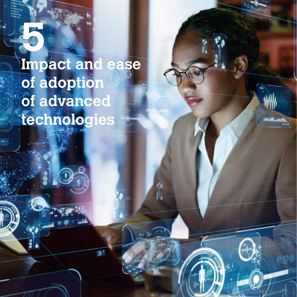## **5 Impact and ease of adoption of advanced technologies**

伶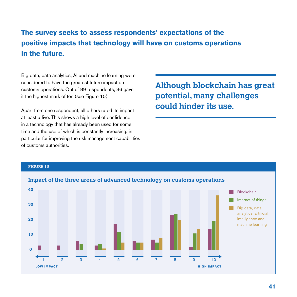## **The survey seeks to assess respondents' expectations of the positive impacts that technology will have on customs operations in the future.**

Big data, data analytics, AI and machine learning were considered to have the greatest future impact on customs operations. Out of 89 respondents, 36 gave it the highest mark of ten (see Figure 15).

Apart from one respondent, all others rated its impact at least a five. This shows a high level of confidence in a technology that has already been used for some time and the use of which is constantly increasing, in particular for improving the risk management capabilities of customs authorities.

**Although blockchain has great potential, many challenges could hinder its use.**

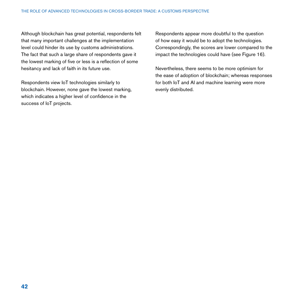Although blockchain has great potential, respondents felt that many important challenges at the implementation level could hinder its use by customs administrations. The fact that such a large share of respondents gave it the lowest marking of five or less is a reflection of some hesitancy and lack of faith in its future use.

Respondents view IoT technologies similarly to blockchain. However, none gave the lowest marking, which indicates a higher level of confidence in the success of IoT projects.

Respondents appear more doubtful to the question of how easy it would be to adopt the technologies. Correspondingly, the scores are lower compared to the impact the technologies could have (see Figure 16).

Nevertheless, there seems to be more optimism for the ease of adoption of blockchain; whereas responses for both IoT and AI and machine learning were more evenly distributed.